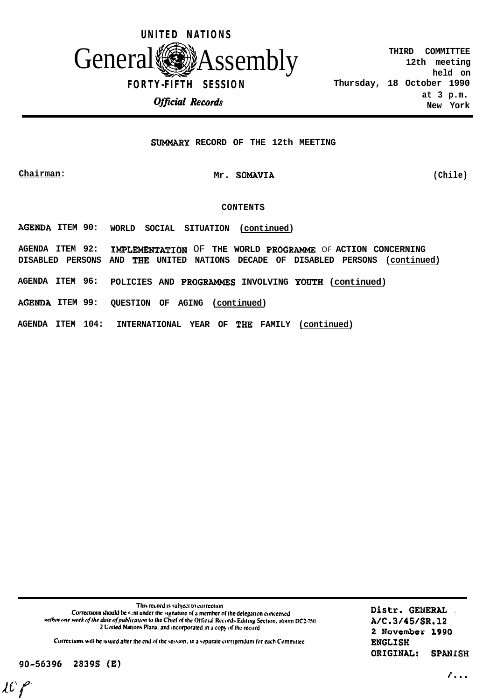

### **SUMMARY RECORD OF THE 12th MEETING**

## **Chairman: Mr. SOMAUIA (Chile)**

#### **CONTENTS**

**AGERDA ITEM 90: WORLD SOCIAL SITUATION (continued)**

**AGENDA ITEM 92: IMPLEMRRT'ATION** OF **THE WORLD PROGRAMME** OF **ACTION CONCERNING DISABLED PERSONS AND THE UNITED NATIONS DECADE OF DISABLED PERSONS (continued)**

**AGENDA ITEM 96: POLICIES AND PROGRAMMES INVOLVING YOUTH (continued)**

**AGENDA ITEM 99: QUESTION OF AGING (continued) .**

**AGENDA ITEM 104: INTERNATIONAL YEAR OF THR FAMILY (continued)**

This record is subject to correction Corrections should be sont under the signature of a member of the delegation concerned within one week of the date of publication to the Chief of the Official Records Editing Section, Room DC2-750. 2 United Nations Plaza, and incorporated in a copy of the record

Corrections will be issued after the end of the session, in a separate corrigendum for each Committee

90-56396 2839S (E)

 $LCf$ 

Distr. GENERAL A/C.3/45/SR.12 2 November 1990 **ENGLISH** ORIGINAL: **SPANISH** 

 $\lambda$ ...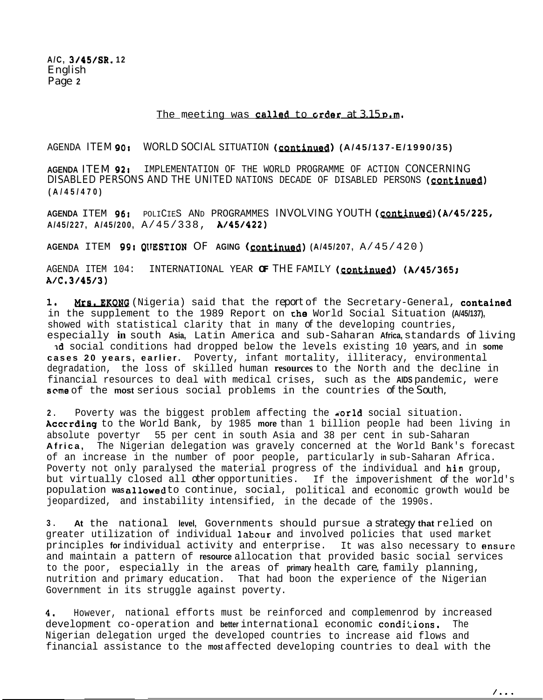**A/C, 3/45/SR. 12** English Page **2**

## The meeting was called to crder at  $3.15$  p.m.

AGENDA ITEM 90: WORLD SOCIAL SITUATION (continued) (A/45/137-E/1990/35)

**AGENDA** ITEM 921 IMPLEMENTATION OF THE WORLD PROGRAMME OF ACTION CONCERNING DISABLED PERSONS AND THE UNITED NATIONS DECADE OF DISABLED PERSONS (continued) **(A/45/470)**

AGENDA ITEM 96: POLICIES AND PROGRAMMES INVOLVING YOUTH (continued) (A/45/225, **A/45/227, A/45/200,** A/45/338, **A/45/422)**

**AGENDA ITEM 99: QUESTION OF AGING (continued) (A/45/207, A/45/420)** 

AGENDA ITEM 104: INTERNATIONAL YEAR OF THE FAMILY (continued) (A/45/365; **AIC.314513)**

1. Mrs. EKONG (Nigeria) said that the report of the Secretary-General, contained in the supplement to the 1989 Report on the World Social Situation **(A/45/137),** showed with statistical clarity that in many of the developing countries, especially **in** south **Asia,** Latin America and sub-Saharan **Africa,** standards of living

Id social conditions had dropped below the levels existing 10 years, and in **some cases 20 years, earlier.** Poverty, infant mortality, illiteracy, environmental degradation, the loss of skilled human **resources** to the North and the decline in financial resources to deal with medical crises, such as the **AIDS** pandemic, were **some** of the **most** serious social problems in the countries of the South,

2. Poverty was the biggest problem affecting the **world** social situation. Acccrding to the World Bank, by 1985 **more** than 1 billion people had been living in absolute povertyr 55 per cent in south Asia and 38 per cent in sub-Saharan **Africa,** The Nigerian delegation was gravely concerned at the World Bank's forecast of an increase in the number of poor people, particularly **in** sub-Saharan Africa. Poverty not only paralysed the material progress of the individual and his group, but virtually closed all other opportunities. If the impoverishment of the world's population wasallowed to continue, social, political and economic growth would be jeopardized, and instability intensified, in the decade of the 1990s.

**3 . At** the national **level,** Governments should pursue a strategy **that** relied on greater utilization of individual labour and involved policies that used market principles **for** individual activity and enterprise. It was also necessary to ensure and maintain a pattern of **resource** allocation that provided basic social services to the poor, especially in the areas of **primary** health care, family planning, nutrition and primary education. That had boon the experience of the Nigerian Government in its struggle against poverty.

**4,** However, national efforts must be reinforced and complemenrod by increased development co-operation and better international economic conditions. The Nigerian delegation urged the developed countries to increase aid flows and financial assistance to the **most** affected developing countries to deal with the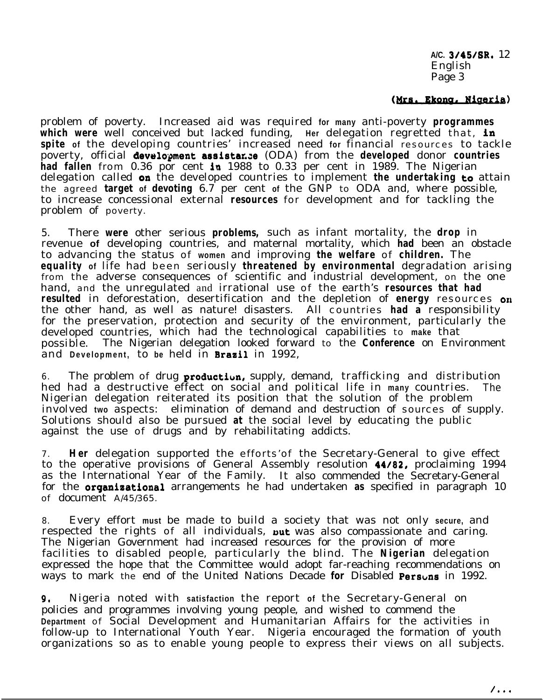**A/C.** 3/45/SR. 12 English Page 3

## (Mrs. Ekong, Nigeria)

problem of poverty. Increased aid was required **for many** anti-poverty **programmes** which were well conceived but lacked funding, Her delegation regretted that, in **spite of** the developing countries' increased need **for** financial resources to tackle poverty, official development assistance (ODA) from the **developed** donor **countries had fallen** from 0.36 por cent in 1988 to 0.33 per cent in 1989. The Nigerian delegation called on the developed countries to implement **the undertaking** *to* attain the agreed **target of devoting** 6.7 per cent **of** the GNP to ODA and, where possible, to increase concessional external **resources** for development and for tackling the problem of poverty.

5. There **were** other serious **problems,** such as infant mortality, the **drop** in revenue **of** developing countries, and maternal mortality, which **had** been an obstacle to advancing the status of **women** and improving **the welfare** of **children.** The **equality of** life had been seriously **threatened by environmental** degradation arising from the adverse consequences of scientific and industrial development, on the one hand, and the unregulated and irrational use of the earth's **resources that had resulted** in deforestation, desertification and the depletion of **energy** resources on the other hand, as well as nature! disasters. All countries **had a** responsibility for the preservation, protection and security of the environment, particularly the developed countries, which had the technological capabilities to **make** that possible. The Nigerian delegation looked forward to the **Conference** on Environment and **Development,** to **be** held in Braail in 1992,

6. The problem of drug **production,** supply, demand, trafficking and distribution hed had a destructive effect on social and political life in **many** countries. The Nigerian delegation reiterated its position that the solution of the problem involved **two** aspects: elimination of demand and destruction of sources of supply. Solutions should also be pursued **at** the social level by educating the public against the use of drugs and by rehabilitating addicts.

7. **Her** delegation supported the efforts'of the Secretary-General to give effect to the operative provisions of General Assembly resolution 44182, proclaiming 1994 as the International Year of the Family. It also commended the Secretary-General for the organisational arrangements he had undertaken **as** specified in paragraph 10 of document A/45/365.

8. Every effort **must** be made to build a society that was not only **secure,** and respected the rights of all individuals, **put** was also compassionate and caring. The Nigerian Government had increased resources for the provision of more facilities to disabled people, particularly the blind. The **Nigerian** delegation expressed the hope that the Committee would adopt far-reaching recommendations on ways to mark the end of the United Nations Decade for Disabled Persuns in 1992.

**9,** Nigeria noted with **satisfaction** the report **of** the Secretary-General on policies and programmes involving young people, and wished to commend the **Department** of Social Development and Humanitarian Affairs for the activities in follow-up to International Youth Year. Nigeria encouraged the formation of youth organizations so as to enable young people to express their views on all subjects.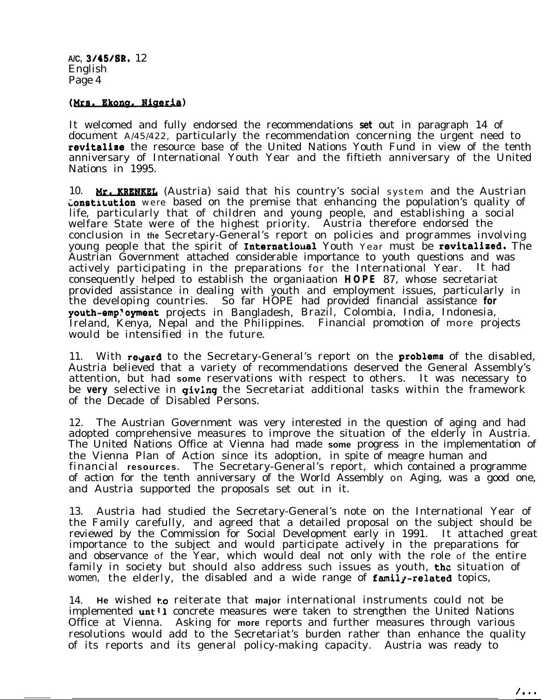**A/C,** 3/45/SR, 12 English Page 4

# (Mrs. Ekong, Nigeria)

It welcomed and fully endorsed the recommendations **set** out in paragraph 14 of document A/45/422, particularly the recommendation concerning the urgent need to revitalize the resource base of the United Nations Youth Fund in view of the tenth anniversary of International Youth Year and the fiftieth anniversary of the United Nations in 1995.

10. Mr. KRENKEL (Austria) said that his country's social system and the Austrian **Constitution** were based on the premise that enhancing the population's quality of life, particularly that of children and young people, and establishing a social welfare State were of the highest priority. Austria therefore endorsed the conclusion in **the** Secretary-General's report on policies and programmes involving young people that the spirit of Internatiousl Youth Year must be revitalized. The Austrian Government attached considerable importance to youth questions and was actively participating in the preparations for the International Year. It had consequently helped to establish the organiaation **HOPE** 87, whose secretariat provided assistance in dealing with youth and employment issues, particularly in the developing countries. So far HOPE had provided financial assistance **for** youth-emp<sup>t</sup>oyment projects in Bangladesh, Brazil, Colombia, India, Indonesia, Ireland, Kenya, Nepal and the Philippines. Financial promotion of more projects would be intensified in the future.

11. With regard to the Secretary-General's report on the problems of the disabled, Austria believed that a variety of recommendations deserved the General Assembly's attention, but had **some** reservations with respect to others. It was necessary to be **very** selective in giving the Secretariat additional tasks within the framework of the Decade of Disabled Persons.

12. The Austrian Government was very interested in the question of aging and had adopted comprehensive measures to improve the situation of the elderly in Austria. The United Nations Office at Vienna had made **some** progress in the implementation of the Vienna Plan of Action since its adoption, in spite of meagre human and financial **resources.** The Secretary-General's report, which contained a programme of action for the tenth anniversary of the World Assembly on Aging, was a good one, and Austria supported the proposals set out in it.

13. Austria had studied the Secretary-General's note on the International Year of the Family carefully, and agreed that a detailed proposal on the subject should be reviewed by the Commission for Social Development early in 1991. It attached great importance to the subject and would participate actively in the preparations for and observance of the Year, which would deal not only with the role of the entire family in society but should also address such issues as youth, **the** situation of women, the elderly, the disabled and a wide range of  $family-related$  topics,

14. **He** wished t.o reiterate that **major** international instruments could not be implemented  $unt<sup>1</sup>$  concrete measures were taken to strengthen the United Nations Office at Vienna. Asking for **more** reports and further measures through various resolutions would add to the Secretariat's burden rather than enhance the quality of its reports and its general policy-making capacity. Austria was ready to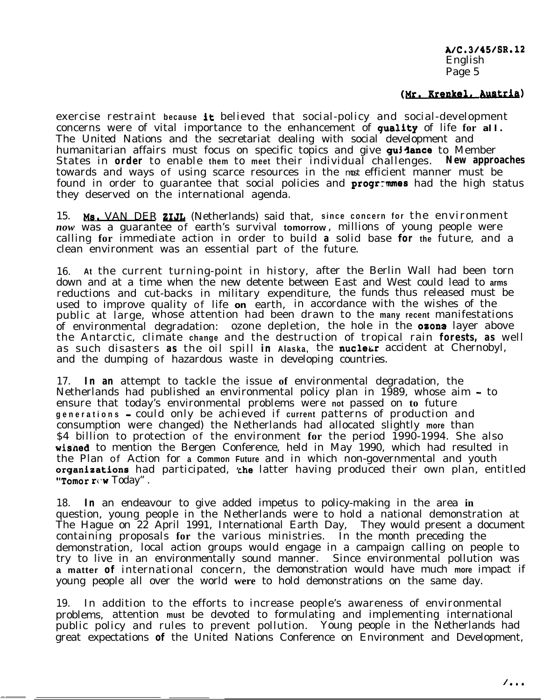A/C.3/45/SR.12 English Page 5

# (Mr. Krenkel, Austria)

exercise restraint **because** it believed that social-policy and social-development concerns were of vital importance to the enhancement of guality of life **for** *all.* The United Nations and the secretariat dealing with social development and humanitarian affairs must focus on specific topics and give guidance to Member States in **order** to enable **them** to **meet** their individual challenges. **New approaches** towards and ways of using scarce resources in the *most* efficient manner must be found in order to guarantee that social policies and **progr:mes** had the high status they deserved on the international agenda.

15. Ms. VAN DER **ZIJL** (Netherlands) said that, since concern for the environment *now* was a guarantee of earth's survival **tomorrow** , millions of young people were calling **for** immediate action in order to build **a** solid base **for the** future, and a clean environment was an essential part of the future.

16. **At** the current turning-point in history, after the Berlin Wall had been torn down and at a time when the new detente between East and West could lead to **arms** reductions and cut-backs in military expenditure, the funds thus released must be used to improve quality of life **on** earth, in accordance with the wishes of the public at large, whose attention had been drawn to the **many recent** manifestations of environmental degradation: ozone depletion, the hole in the **ozone** layer above the Antarctic, climate **change** and the destruction of tropical rain **forests, as** well as such disasters as the oil spill in Alaska, the nucleur accident at Chernobyl, and the dumping of hazardous waste in developing countries.

17. **In an** attempt to tackle the issue **of** environmental degradation, the Netherlands had published **an** environmental policy plan in 1989, whose aim - to ensure that today's environmental problems were **not** passed on **to** future **generations -** could only be achieved if **current** patterns of production and consumption were changed) the Netherlands had allocated slightly **more** than \$4 billion to protection of the environment **for** the period 1990-1994. She also wisned to mention the Bergen Conference, held in May 1990, which had resulted in the Plan of Action for **a Common Future** and in which non-governmental and youth organizations had participated, the latter having produced their own plan, entitled **"Tomor**  $\mathbf{r}$ **cw Today".** 

18. **In** an endeavour to give added impetus to policy-making in the area **in** question, young people in the Netherlands were to hold a national demonstration at The Hague on 22 April 1991, International Earth Day, They would present a document containing proposals **for** the various ministries. In the month preceding the demonstration, local action groups would engage in a campaign calling on people to try to live in an environmentally sound manner. Since environmental pollution was **a matter of** international concern, the demonstration would have much **more** impact if young people all over the world **were** to hold demonstrations on the same day.

19. In addition to the efforts to increase people's awareness of environmental problems, attention **must** be devoted to formulating and implementing international public policy and rules to prevent pollution. Young people in the Netherlands had great expectations **of** the United Nations Conference on Environment and Development,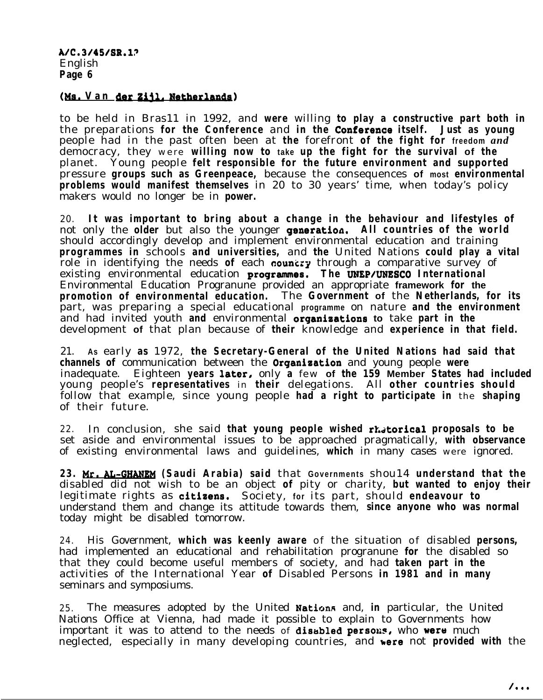## *(Ms.* **Van &g 21% Me-)**

to be held in Bras11 in 1992, and **were** willing **to play a constructive part both in** the preparations **for the Conference** and **in the Conferenae itself. Just as young** people had in the past often been at **the** forefront **of the fight for freedom** *and* democracy, they were **willing now to take up the fight for the survival of the** planet. Young people **felt responsible for the future environment and supported** pressure **groups such as Greenpeace,** because the consequences **of most environmental problems would manifest themselves** in 20 to 30 years' time, when today's policy makers would no longer be in **power.**

20. **It was important to bring about a change in the behaviour and lifestyles of** not only the **older** but also the younger generation. **All countries of the world** should accordingly develop and implement environmental education and training **programmes in** schools **and universities,** and **the** United Nations **could play a vital** role in identifying the needs of each **councry** through a comparative survey of existing environmental education **progrsmnes. The UNEP/UNESCO International** Environmental Education Progranune provided an appropriate **framework for the promotion of environmental education.** The **Government of** the **Netherlands, for its** part, was preparing a special educational **programme** on nature **and the environment** and had invited youth **and** environmental organisations **to** take **part in the** development **of** that plan because of **their** knowledge and **experience in that field.**

21. **As** early **as** 1972, **the Secretary-General of the United Nations had said that channels of** communication between the Organisation and young people **were** inadequate. Eighteen **years** later, only **a** few **of the 159 Member States had included** young people's **representatives** in **their** delegations. All **other countries should** follow that example, since young people **had a right to participate in** the **shaping** of their future.

22. In conclusion, she said that young people wished rhatorical proposals to be set aside and environmental issues to be approached pragmatically, **with observance** of existing environmental laws and guidelines, **which** in many cases were ignored.

**23. Mr. AL-W (Saudi Arabia) said** that **Governments** shou14 **understand that the** disabled did not wish to be an object **of** pity or charity, **but wanted to enjoy their** legitimate rights as citizens. Society, for its part, should endeavour to understand them and change its attitude towards them, **since anyone who was normal** today might be disabled tomorrow.

24. His Government, **which was keenly aware** of the situation of disabled **persons,** had implemented an educational and rehabilitation progranune **for** the disabled so that they could become useful members of society, and had **taken part in the** activities of the International Year **of** Disabled Persons **in 1981 and in many** seminars and symposiums.

25. The measures adopted by the United NationA and, **in** particular, the United Nations Office at Vienna, had made it possible to explain to Governments how important it was to attend to the needs of disabled persons, who were much neglected, especially in many developing countries, and here not **provided with** the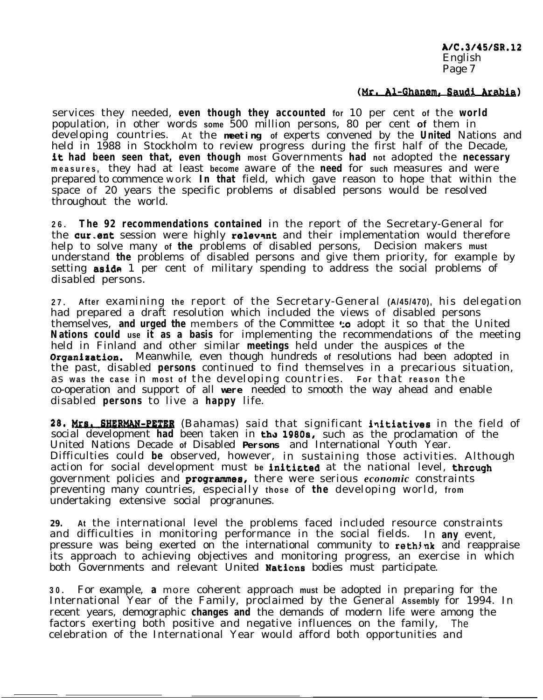A/C.3/45/SR.12 English Page 7

## (Mr. Al-Ghanem, Saudi Arabia)

services they needed, **even though they accounted for** 10 per cent **of** the **world** population, in other words **some** 500 million persons, 80 per cent **of** them in developing countries. At the *meeting* **of** experts convened by the **United** Nations and held in 1988 in Stockholm to review progress during the first half of the Decade, it **had been seen that, even though most** Governments **had not** adopted the **necessary measures,** they had at least **become** aware of the **need** for **such** measures and were prepared to commence work **In that** field, which gave reason to hope that within the space of 20 years the specific problems **of** disabled persons would be resolved throughout the world.

**26. The 92 recommendations contained** in the report of the Secretary-General for the cur.ent session were highly rolevant and their implementation would therefore help to solve many **of the** problems of disabled persons, Decision makers **must** understand **the** problems of disabled persons and give them priority, for example by setting **aside** 1 per cent of military spending to address the social problems of disabled persons.

**27. After** examining **the** report of the Secretary-General **(A/45/470),** his delegation had prepared a draft resolution which included the views of disabled persons themselves, **and urged the** members of the Committee **:** o adopt it so that the United **Nations could use it as a basis** for implementing the recommendations of the meeting held in Finland and other similar **meetings** held under the auspices **of** the **Organization.** Meanwhile, even though hundreds of resolutions had been adopted in the past, disabled **persons** continued to find themselves in a precarious situation, as **was the case** in **most of** the developing countries. **For** that **reason** the co-operation and support of all *were* needed to smooth the way ahead and enable disabled **persons** to live a **happy** life.

28. Mrs. SHERMAN-PETER (Bahamas) said that significant initiatives in the field of social development **had** been taken in tha 19808, such as the proclamation of the United Nations Decade **of** Disabled *Persons* and International Youth Year. Difficulties could **be** observed, however, in sustaining those activities. Although action for social development must **be** initieted at the national level, thrcugh government policies and **programmes**, there were serious *economic* constraints preventing many countries, especially **those** of **the** developing world, **from** undertaking extensive social progranunes.

*29.* **At** the international level the problems faced included resource constraints and difficulties in monitoring performance in the social fields. In **any** event, pressure was being exerted on the international community to rethink and reappraise its approach to achieving objectives and monitoring progress, an exercise in which both Governments and relevant United Nations bodies must participate.

**30.** For example, **a** more coherent approach **must** be adopted in preparing for the International Year of the Family, proclaimed by the General **Assembly** for 1994. In recent years, demographic **changes and** the demands of modern life were among the factors exerting both positive and negative influences on the family, The celebration of the International Year would afford both opportunities and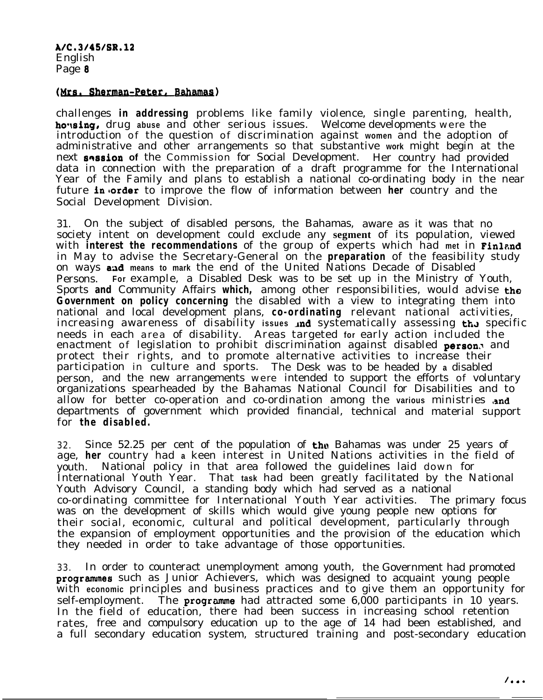A/C.3/45/SR.l2 English Page 8

## (Mrs. Sherman-Peter, Bahamas)

challenges **in addressing** problems like family violence, single parenting, health, ho%ing, drug **abuse** and other serious issues. Welcome developments were the introduction of the question of discrimination against **women** and the adoption of administrative and other arrangements so that substantive **work** might begin at the next **solution of** the Commission for Social Development. Her country had provided data in connection with the preparation of a draft programme for the International Year of the Family and plans to establish a national co-ordinating body in the near future **in** order to improve the flow of information between **her** country and the Social Development Division.

31. On the subject of disabled persons, the Bahamas, aware as it was that no society intent on development could exclude any **segment** of its population, viewed with **interest the recommendations** of the group of experts which had met in Finland in May to advise the Secretary-General on the **preparation** of the feasibility study on ways and means to mark the end of the United Nations Decade of Disabled Persons. **For** example, a Disabled Desk was to be set up in the Ministry of Youth, Sports **and** Community Affairs **which,** among other responsibilities, would advise the **Government on policy concerning** the disabled with a view to integrating them into national and local development plans, **co-ordinating** relevant national activities, increasing awareness of disability issues *and* systematically assessing the specific needs in each area of disability. Areas targeted **for** early action included the enactment of legislation to prohibit discrimination against disabled person. and protect their rights, and to promote alternative activities to increase their participation in culture and sports. The Desk was to be headed by **a** disabled person, and the new arrangements were intended to support the efforts of voluntary organizations spearheaded by the Bahamas National Council for Disabilities and to allow for better co-operation and co-ordination among the various ministries and departments of government which provided financial, technical and material support for **the disabled.**

32. Since 52.25 per cent of the population of the Bahamas was under 25 years of age, **her** country had **a** keen interest in United Nations activities in the field of youth. National policy in that area followed the guidelines laid down for International Youth Year. That **task** had been greatly facilitated by the National Youth Advisory Council, a standing body which had served as a national co-ordinating committee for International Youth Year activities. The primary focus was on the development of skills which would give young people new options for their social, economic, cultural and political development, particularly through the expansion of employment opportunities and the provision of the education which they needed in order to take advantage of those opportunities.

33. In order to counteract unemployment among youth, the Government had promoted programmes such as Junior Achievers, which was designed to acquaint young people with **economic** principles and business practices and to give them an opportunity for  $self$ -employment. The programme had attracted some  $6,000$  participants in 10 years. In the field of education, there had been success in increasing school retention rates, free and compulsory education up to the age of 14 had been established, and a full secondary education system, structured training and post-secondary education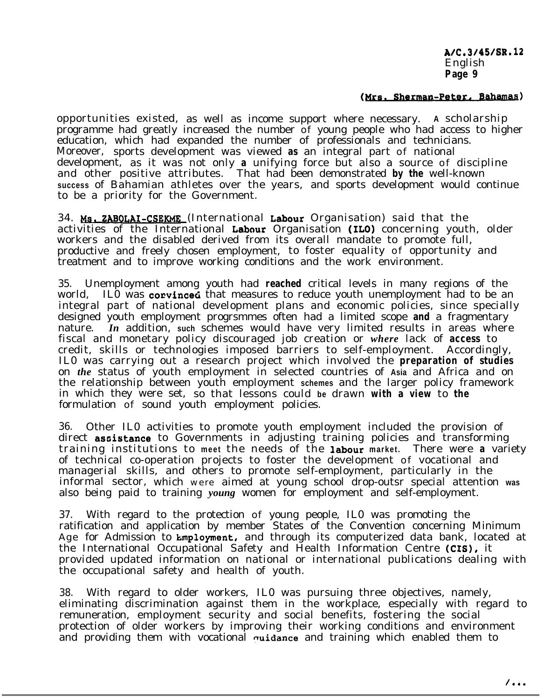A/C.3/45/SR.l2 English **Page 9**

## (Mrs. Sherman-Peter, Bahamas)

opportunities existed, as well as income support where necessary. **A** scholarship programme had greatly increased the number of young people who had access to higher education, which had expanded the number of professionals and technicians. Moreover, sports development was viewed **as** an integral part of national development, as it was not only **a** unifying force but also a source of discipline and other positive attributes. That had been demonstrated **by the** well-known **success** of Bahamian athletes over the years, and sports development would continue to be a priority for the Government.

34. Ms. ZABOLAI-CSEKME (International Labour Organisation) said that the activities of the International Labour Organisation (ILO) concerning youth, older workers and the disabled derived from its overall mandate to promote full, productive and freely chosen employment, to foster equality of opportunity and treatment and to improve working conditions and the work environment.

35. Unemployment among youth had **reached** critical levels in many regions of the world, ILO was corvinced that measures to reduce youth unemployment had to be an integral part of national development plans and economic policies, since specially designed youth employment progrsmmes often had a limited scope **and** a fragmentary nature. *In* addition, **such** schemes would have very limited results in areas where fiscal and monetary policy discouraged job creation or *where* lack of **access** to credit, skills or technologies imposed barriers to self-employment. Accordingly, IL0 was carrying out a research project which involved the **preparation of studies** on *the* status of youth employment in selected countries of **Asia** and Africa and on the relationship between youth employment **schemes** and the larger policy framework in which they were set, so that lessons could **be** drawn **with a view** to **the** formulation of sound youth employment policies.

36. Other IL0 activities to promote youth employment included the provision of direct assistance to Governments in adjusting training policies and transforming training institutions to **meet** the needs of the labour **market.** There were **a** variety of technical co-operation projects to foster the development of vocational and managerial skills, and others to promote self-employment, particularly in the informal sector, which were aimed at young school drop-outsr special attention **was** also being paid to training *young* women for employment and self-employment.

37. With regard to the protection of young people, IL0 was promoting the ratification and application by member States of the Convention concerning Minimum Age for Admission to **Employment**, and through its computerized data bank, located at the International Occupational Safety and Health Information Centre (CIS), it provided updated information on national or international publications dealing with the occupational safety and health of youth.

38. With regard to older workers, IL0 was pursuing three objectives, namely, eliminating discrimination against them in the workplace, especially with regard to remuneration, employment security and social benefits, fostering the social protection of older workers by improving their working conditions and environment and providing them with vocational  $\alpha$ uidance and training which enabled them to